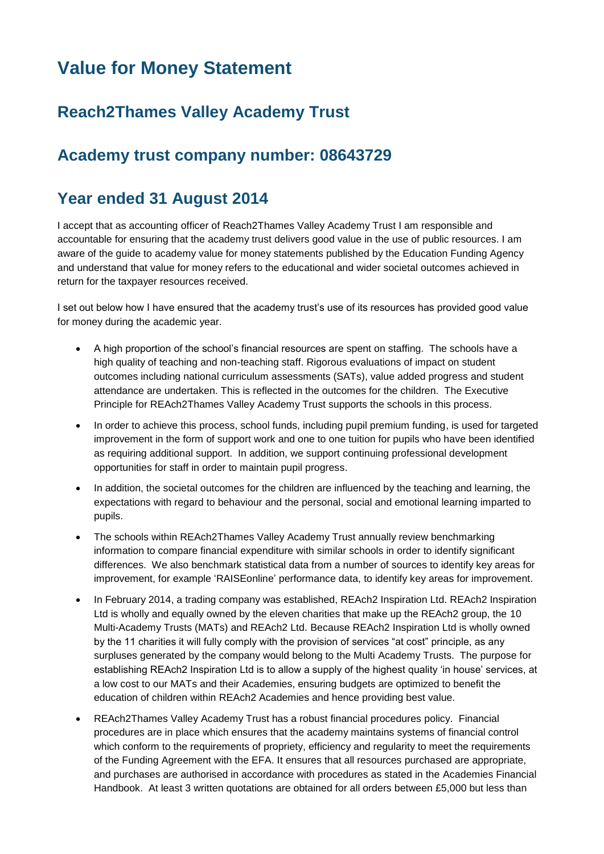# **Value for Money Statement**

## **Reach2Thames Valley Academy Trust**

### **Academy trust company number: 08643729**

#### **Year ended 31 August 2014**

I accept that as accounting officer of Reach2Thames Valley Academy Trust I am responsible and accountable for ensuring that the academy trust delivers good value in the use of public resources. I am aware of the guide to academy value for money statements published by the Education Funding Agency and understand that value for money refers to the educational and wider societal outcomes achieved in return for the taxpayer resources received.

I set out below how I have ensured that the academy trust's use of its resources has provided good value for money during the academic year.

- A high proportion of the school's financial resources are spent on staffing. The schools have a high quality of teaching and non-teaching staff. Rigorous evaluations of impact on student outcomes including national curriculum assessments (SATs), value added progress and student attendance are undertaken. This is reflected in the outcomes for the children. The Executive Principle for REAch2Thames Valley Academy Trust supports the schools in this process.
- In order to achieve this process, school funds, including pupil premium funding, is used for targeted improvement in the form of support work and one to one tuition for pupils who have been identified as requiring additional support. In addition, we support continuing professional development opportunities for staff in order to maintain pupil progress.
- In addition, the societal outcomes for the children are influenced by the teaching and learning, the expectations with regard to behaviour and the personal, social and emotional learning imparted to pupils.
- The schools within REAch2Thames Valley Academy Trust annually review benchmarking information to compare financial expenditure with similar schools in order to identify significant differences. We also benchmark statistical data from a number of sources to identify key areas for improvement, for example 'RAISEonline' performance data, to identify key areas for improvement.
- In February 2014, a trading company was established, REAch2 Inspiration Ltd. REAch2 Inspiration Ltd is wholly and equally owned by the eleven charities that make up the REAch2 group, the 10 Multi-Academy Trusts (MATs) and REAch2 Ltd. Because REAch2 Inspiration Ltd is wholly owned by the 11 charities it will fully comply with the provision of services "at cost" principle, as any surpluses generated by the company would belong to the Multi Academy Trusts. The purpose for establishing REAch2 Inspiration Ltd is to allow a supply of the highest quality 'in house' services, at a low cost to our MATs and their Academies, ensuring budgets are optimized to benefit the education of children within REAch2 Academies and hence providing best value.
- REAch2Thames Valley Academy Trust has a robust financial procedures policy. Financial procedures are in place which ensures that the academy maintains systems of financial control which conform to the requirements of propriety, efficiency and regularity to meet the requirements of the Funding Agreement with the EFA. It ensures that all resources purchased are appropriate, and purchases are authorised in accordance with procedures as stated in the Academies Financial Handbook. At least 3 written quotations are obtained for all orders between £5,000 but less than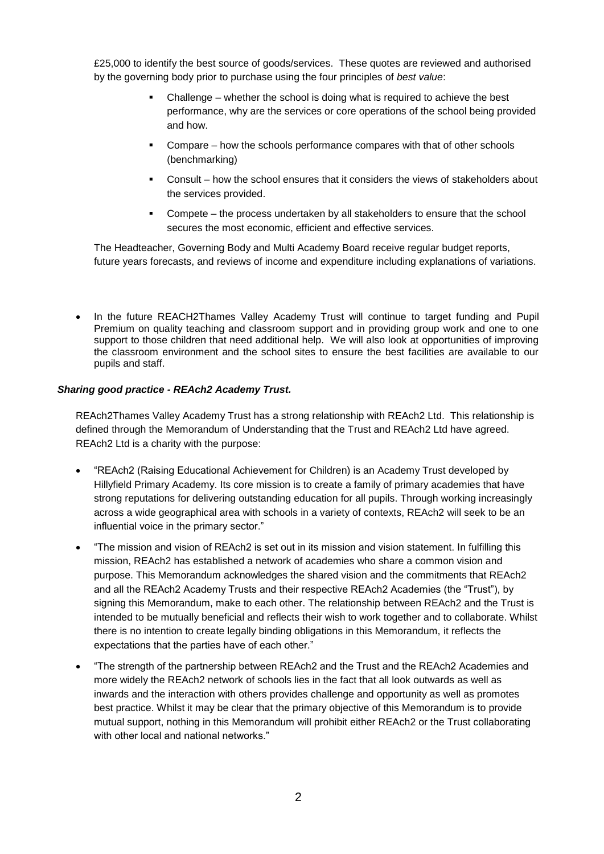£25,000 to identify the best source of goods/services. These quotes are reviewed and authorised by the governing body prior to purchase using the four principles of *best value*:

- Challenge whether the school is doing what is required to achieve the best performance, why are the services or core operations of the school being provided and how.
- Compare how the schools performance compares with that of other schools (benchmarking)
- Consult how the school ensures that it considers the views of stakeholders about the services provided.
- Compete the process undertaken by all stakeholders to ensure that the school secures the most economic, efficient and effective services.

The Headteacher, Governing Body and Multi Academy Board receive regular budget reports, future years forecasts, and reviews of income and expenditure including explanations of variations.

 In the future REACH2Thames Valley Academy Trust will continue to target funding and Pupil Premium on quality teaching and classroom support and in providing group work and one to one support to those children that need additional help. We will also look at opportunities of improving the classroom environment and the school sites to ensure the best facilities are available to our pupils and staff.

#### *Sharing good practice - REAch2 Academy Trust.*

REAch2Thames Valley Academy Trust has a strong relationship with REAch2 Ltd. This relationship is defined through the Memorandum of Understanding that the Trust and REAch2 Ltd have agreed. REAch2 Ltd is a charity with the purpose:

- "REAch2 (Raising Educational Achievement for Children) is an Academy Trust developed by Hillyfield Primary Academy. Its core mission is to create a family of primary academies that have strong reputations for delivering outstanding education for all pupils. Through working increasingly across a wide geographical area with schools in a variety of contexts, REAch2 will seek to be an influential voice in the primary sector."
- "The mission and vision of REAch2 is set out in its mission and vision statement. In fulfilling this mission, REAch2 has established a network of academies who share a common vision and purpose. This Memorandum acknowledges the shared vision and the commitments that REAch2 and all the REAch2 Academy Trusts and their respective REAch2 Academies (the "Trust"), by signing this Memorandum, make to each other. The relationship between REAch2 and the Trust is intended to be mutually beneficial and reflects their wish to work together and to collaborate. Whilst there is no intention to create legally binding obligations in this Memorandum, it reflects the expectations that the parties have of each other."
- "The strength of the partnership between REAch2 and the Trust and the REAch2 Academies and more widely the REAch2 network of schools lies in the fact that all look outwards as well as inwards and the interaction with others provides challenge and opportunity as well as promotes best practice. Whilst it may be clear that the primary objective of this Memorandum is to provide mutual support, nothing in this Memorandum will prohibit either REAch2 or the Trust collaborating with other local and national networks."